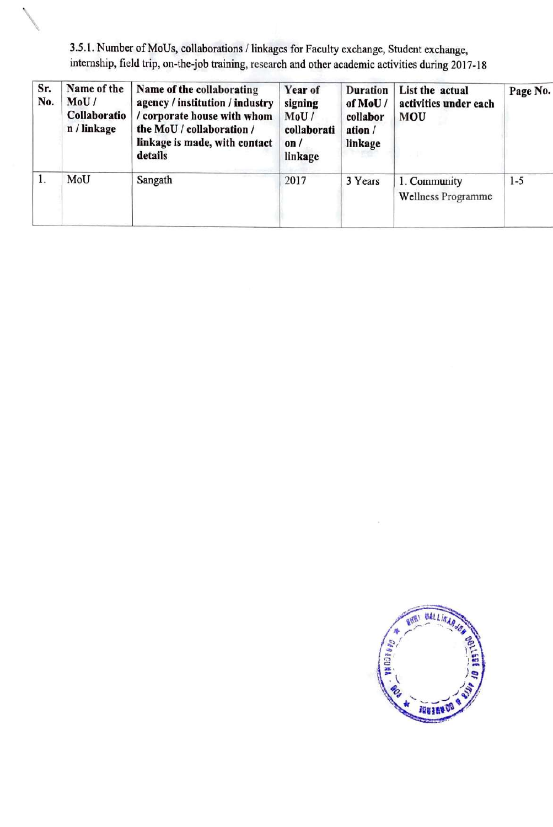3.5.1. Number of MoUs, collaborations / linkages for Faculty exchange, Student exchange, internship, field trip, on-the-job training, research and other academic activities during 2017-18

 $\diagdown$ 

| Sr.<br>No. | Name of the<br>MoU/<br>Collaboratio<br>n / linkage | Name of the collaborating<br>agency / institution / industry<br>/ corporate house with whom<br>the MoU / collaboration /<br>linkage is made, with contact<br>details | Year of<br>signing<br>MoU/<br>collaborati<br>on/<br>linkage | <b>Duration</b><br>of MoU/<br>collabor<br>ation /<br>linkage | List the actual<br>activities under each<br><b>MOU</b> | Page No. |
|------------|----------------------------------------------------|----------------------------------------------------------------------------------------------------------------------------------------------------------------------|-------------------------------------------------------------|--------------------------------------------------------------|--------------------------------------------------------|----------|
| 1.         | MoU                                                | Sangath                                                                                                                                                              | 2017                                                        | 3 Years                                                      | 1. Community<br>Wellness Programme                     | $1-5$    |

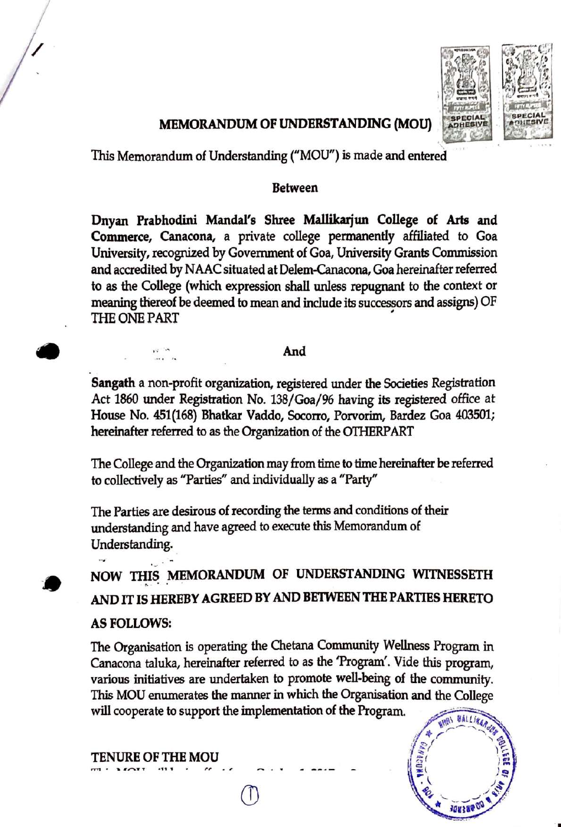

 $\frac{1}{2}$  $\left( \frac{\partial \widetilde{z}}{\partial x} \right)^2$ 

<sup>~</sup> ( *)~* . \ *) <sup>~</sup>*

<sup>~</sup>*. .I <sup>~</sup> -* \_; -:, ·......\_ *.../ '- :* • *1a11r.,~* . -

## **MEMORANDUM OF UNDERSTANDING (MOU)**

This Memorandum of Understanding ("MOU") is made and entered

#### **Between**

**Dnyan Prabhodini Mandal's Shree Ma11ikarjun College of Arts and Commerce, Canacona, a** private college permanently affiliated to Goa University, recognized by Government of Goa, University Grants Commission and accredited by NAAC situated at Delem-Canacona, Goa hereinafter referred to as the College (which expression shall unless repugnant to the context or meaning thereof be deemed to mean and include its successors and assigns) OF THE ONE PART

#### **And**

**Sangath** a non-profit organization, registered under the Societies Registration Act 1860 under Registration No. 138/Goa/96 having its registered office at House No. 451(168) Bhatkar Vaddo, Socorro, Porvorim, Bardez Goa 403501; hereinafter referred to as the Organization of the OTHERPART

The College and the Organization may from time to time hereinafter be referred to collectively as "Parties" and individually as a "Party"

The Parties are desirous of recording the terms and conditions of their understanding and have agreed to execute this Memorandum of Understanding.

**NOW THIS MEMORANDUM OF UNDERSTANDING WITNESSETH AND** IT **IS HEREBY AGREED BY AND BE'IWEEN THE PARTIES HERETO AS FOLLOWS:** 

The Organisation is operating the Chetana Community Wellness Program in Canacona taluka, hereinafter referred to as the 'Program'. Vide this program, various initiatives are undertaken to promote well-being of the community. This MOU enumerates the manner in which the Organisation and the College will cooperate to support the implementation of the Program.

**TENURE OF THE MOU** 

•

 $\ddot{ }$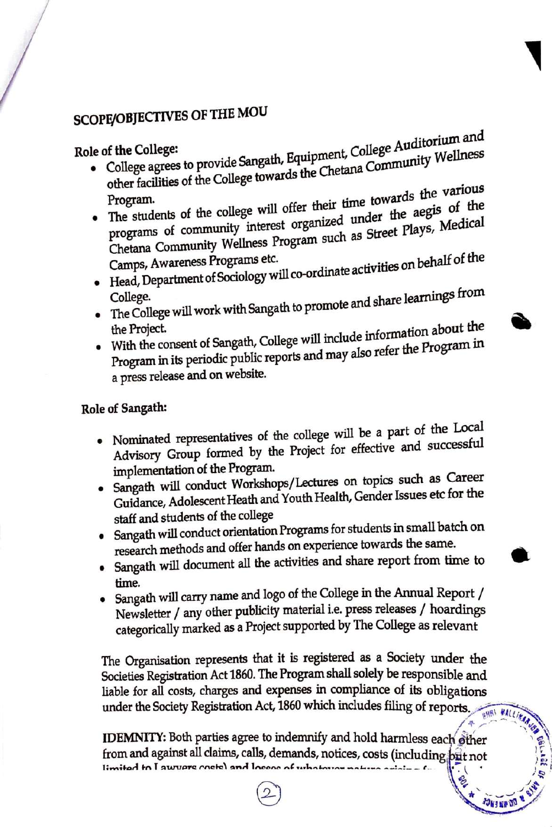# SCOPE/OBJECTIVES OF THE MOU

#### Role of the College:

**JUNEAU** 

- College agrees to provide Sangath, Equipment, College Auditorium and other facilities of the College towards the Chetana Community Wellness
- The students of the college will offer their time towards the various programs of community interest organized under the aegis of the Chetana Community Wellness Program such as Street Plays, Medical
- Head, Department of Sociology will co-ordinate activities on behalf of the
- The College will work with Sangath to promote and share learnings from
- With the consent of Sangath, College will include information about the Program in its periodic public reports and may also refer the Program in a press release and on website.

# Role of Sangath:

- Nominated representatives of the college will be a part of the Local Advisory Group formed by the Project for effective and successful implementation of the Program.
- · Sangath will conduct Workshops/Lectures on topics such as Career Guidance, Adolescent Heath and Youth Health, Gender Issues etc for the staff and students of the college
- Sangath will conduct orientation Programs for students in small batch on research methods and offer hands on experience towards the same.
- Sangath will document all the activities and share report from time to time.
- Sangath will carry name and logo of the College in the Annual Report / Newsletter / any other publicity material i.e. press releases / hoardings categorically marked as a Project supported by The College as relevant

The Organisation represents that it is registered as a Society under the Societies Registration Act 1860. The Program shall solely be responsible and liable for all costs, charges and expenses in compliance of its obligations under the Society Registration Act, 1860 which includes filing of reports. **BNBI HALLIS** 

IDEMNITY: Both parties agree to indemnify and hold harmless each other from and against all claims, calls, demands, notices, costs (including pit not limited to I aware cootel and looses of whatever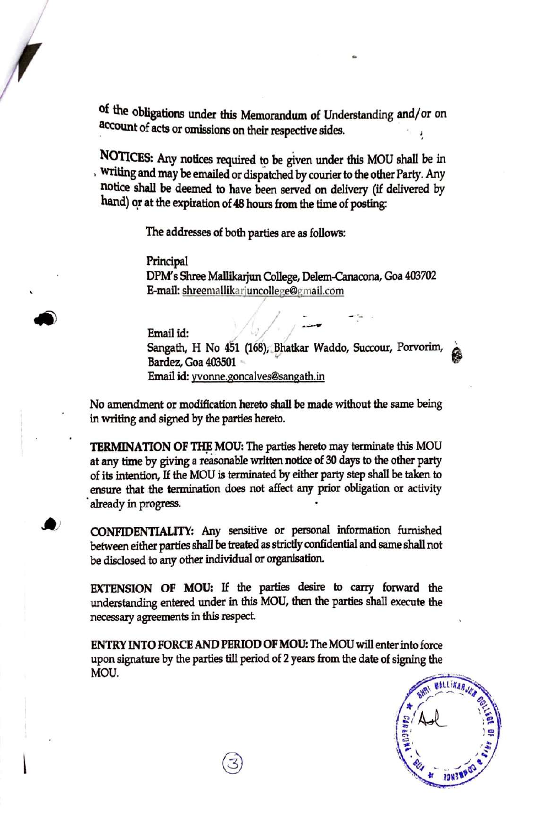of the obligations under this Memorandum of Understanding and/or on account of acts or omissions on their respective sides.

**NOTICES:** Any notices required to be given under this MOU shall be in , writing and may be emailed or dispatched by courier to the other Party. Any notice shall be deemed to have been served on delivery (if delivered by hand) or at the expiration of 48 hours from the time of posting:

The addresses of both parties are as follows:

Principal DPM' s Shree Mallikarjun College, Delem-Canacona, Goa 403702 E-mail: shreemallikarjuncollege@g:mail.com

Email id: *I* , *:\_\_* Sangath, H No 451 (168), Bhatkar Waddo, Succour, Porvorim,  $\alpha$ Bardez, Goa 403501 ~ Email id: yvonne.goncalves@sangath.in

No amendment or modification hereto shall be made without the same being in writing and signed by the parties hereto.

,

**TERMINATION OF** THE **MOU:** The parties hereto may terminate this MOU at any time by giving a reasonable written notice of 30 days to the other party of its intention, If the MOU is terminated by either party step shall be taken to ensure that the termination does not affect any prior obligation or activity already in progress.

**CONFIDENTIALITY:** Any sensitive or personal information furnished between either parties shall be treated as strictly confidential and same shall not be disclosed to any other individual or organisation.

**EXTENSION OF MOU:** If the parties desire to carry forward the understanding entered under in this MOU, then the parties shall execute the necessary agreements in this respect

ENTRY INTO **FORCE AND PERIOD OF MOU:** The MOU will enter into force upon signature by the parties till period of 2 years from the date of signing the MOU.

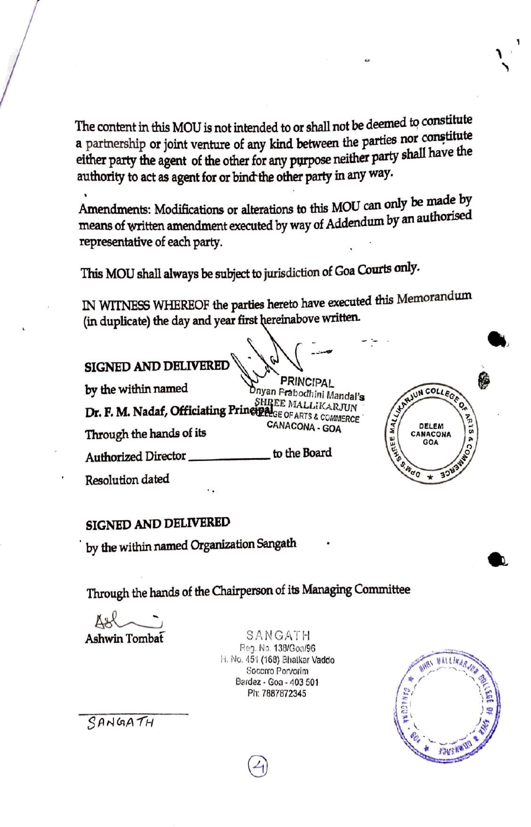The content in this MOU is not intended to or shall not be deemed to constitute a partnership or joint venture of any kind between the parties nor constitute either party the agent of the other for any purpose neither party shall have the authority to act as agent for or bind-the other party in any way.

Amendments: Modifications or alterations to this MOU can only **be rnade** by means of written amendment executed by way of Addendum by an authorised representative of each party.

This MOU shall always be subject to jurisdiction of Goa Courts only.

IN WITNESS WHEREOF the parties hereto have executed this Memorandum (in duplicate) the day and year first hereinabove written.

**SIGNED AND DELIVERED** 

by the within named PRINCIPAL Dnyan Prabodhini Mandal'**s**<br>SHREE MALLIKARJUN **Dr. F. M. Nadaf, Officiating Principal**GE MALLIKARJUN Through the hands of its CANACONA - GOA

Authorized Director \_\_\_\_\_ to the Board

Resolution dated

# **SIGNED AND DELIVERED**

by the within named Organization Sangath

Through the hands of the Chairperson of its Managing Committee

**Ashwin Tombat** ~

SANGATH Reg. No. 138/Goa/96 11. No. 45·1 (168) Bhalkar Vaddo Socorro Porvorim Bardaz • Goa - 403 501 Ph: 7887872345

 $\bigcirc$ 



UN COLLEGE

DELEM **NACONA** GOA

SANGATH